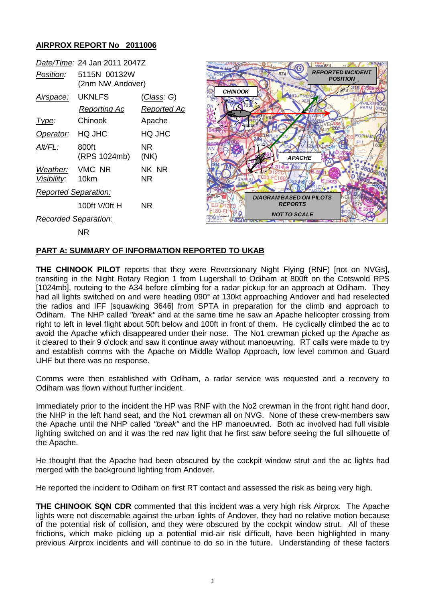## **AIRPROX REPORT No 2011006**

| Date/Time: 24 Jan 2011 2047Z        |                                  |                    |
|-------------------------------------|----------------------------------|--------------------|
| Position:                           | 5115N 00132W<br>(2nm NW Andover) |                    |
| <u>Airspace:</u>                    | UKNLFS                           | <u>(Class</u> : G) |
|                                     | Reporting Ac                     | <u>Reported</u> Ac |
| lype:                               | Chinook                          | Apache             |
| Operator:                           | HO JHC                           | HO JHC             |
| Alt/FL:                             | 800ft<br>(RPS 1024mb)            | NR<br>(NK)         |
| Weather: VMC NR<br>Visibility: 10km |                                  | NK NR<br>NR        |
| <b>Reported Separation:</b>         |                                  |                    |
|                                     | 100ft V/0ft H                    | NR                 |
| <b>Recorded Separation:</b>         |                                  |                    |
|                                     |                                  |                    |



NR

## **PART A: SUMMARY OF INFORMATION REPORTED TO UKAB**

**THE CHINOOK PILOT** reports that they were Reversionary Night Flying (RNF) [not on NVGs], transiting in the Night Rotary Region 1 from Lugershall to Odiham at 800ft on the Cotswold RPS [1024mb], routeing to the A34 before climbing for a radar pickup for an approach at Odiham. They had all lights switched on and were heading 090° at 130kt approaching Andover and had reselected the radios and IFF [squawking 3646] from SPTA in preparation for the climb and approach to Odiham. The NHP called *"break"* and at the same time he saw an Apache helicopter crossing from right to left in level flight about 50ft below and 100ft in front of them. He cyclically climbed the ac to avoid the Apache which disappeared under their nose. The No1 crewman picked up the Apache as it cleared to their 9 o'clock and saw it continue away without manoeuvring. RT calls were made to try and establish comms with the Apache on Middle Wallop Approach, low level common and Guard UHF but there was no response.

Comms were then established with Odiham, a radar service was requested and a recovery to Odiham was flown without further incident.

Immediately prior to the incident the HP was RNF with the No2 crewman in the front right hand door, the NHP in the left hand seat, and the No1 crewman all on NVG. None of these crew-members saw the Apache until the NHP called *"break"* and the HP manoeuvred. Both ac involved had full visible lighting switched on and it was the red nav light that he first saw before seeing the full silhouette of the Apache.

He thought that the Apache had been obscured by the cockpit window strut and the ac lights had merged with the background lighting from Andover.

He reported the incident to Odiham on first RT contact and assessed the risk as being very high.

**THE CHINOOK SQN CDR** commented that this incident was a very high risk Airprox. The Apache lights were not discernable against the urban lights of Andover, they had no relative motion because of the potential risk of collision, and they were obscured by the cockpit window strut. All of these frictions, which make picking up a potential mid-air risk difficult, have been highlighted in many previous Airprox incidents and will continue to do so in the future. Understanding of these factors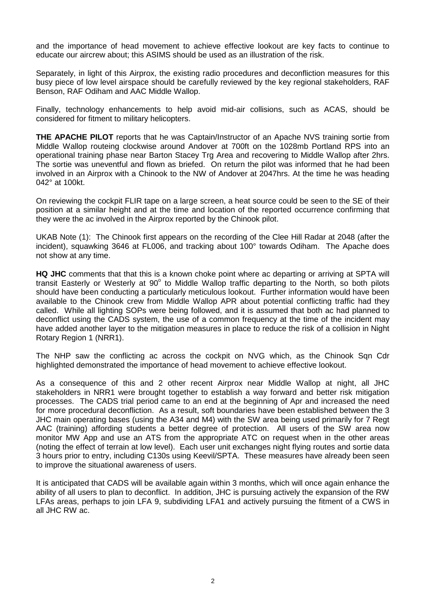and the importance of head movement to achieve effective lookout are key facts to continue to educate our aircrew about; this ASIMS should be used as an illustration of the risk.

Separately, in light of this Airprox, the existing radio procedures and deconfliction measures for this busy piece of low level airspace should be carefully reviewed by the key regional stakeholders, RAF Benson, RAF Odiham and AAC Middle Wallop.

Finally, technology enhancements to help avoid mid-air collisions, such as ACAS, should be considered for fitment to military helicopters.

**THE APACHE PILOT** reports that he was Captain/Instructor of an Apache NVS training sortie from Middle Wallop routeing clockwise around Andover at 700ft on the 1028mb Portland RPS into an operational training phase near Barton Stacey Trg Area and recovering to Middle Wallop after 2hrs. The sortie was uneventful and flown as briefed. On return the pilot was informed that he had been involved in an Airprox with a Chinook to the NW of Andover at 2047hrs. At the time he was heading 042° at 100kt.

On reviewing the cockpit FLIR tape on a large screen, a heat source could be seen to the SE of their position at a similar height and at the time and location of the reported occurrence confirming that they were the ac involved in the Airprox reported by the Chinook pilot.

UKAB Note (1): The Chinook first appears on the recording of the Clee Hill Radar at 2048 (after the incident), squawking 3646 at FL006, and tracking about 100° towards Odiham. The Apache does not show at any time.

**HQ JHC** comments that that this is a known choke point where ac departing or arriving at SPTA will transit Easterly or Westerly at 90° to Middle Wallop traffic departing to the North, so both pilots should have been conducting a particularly meticulous lookout. Further information would have been available to the Chinook crew from Middle Wallop APR about potential conflicting traffic had they called. While all lighting SOPs were being followed, and it is assumed that both ac had planned to deconflict using the CADS system, the use of a common frequency at the time of the incident may have added another layer to the mitigation measures in place to reduce the risk of a collision in Night Rotary Region 1 (NRR1).

The NHP saw the conflicting ac across the cockpit on NVG which, as the Chinook Sqn Cdr highlighted demonstrated the importance of head movement to achieve effective lookout.

As a consequence of this and 2 other recent Airprox near Middle Wallop at night, all JHC stakeholders in NRR1 were brought together to establish a way forward and better risk mitigation processes. The CADS trial period came to an end at the beginning of Apr and increased the need for more procedural deconfliction. As a result, soft boundaries have been established between the 3 JHC main operating bases (using the A34 and M4) with the SW area being used primarily for 7 Regt AAC (training) affording students a better degree of protection. All users of the SW area now monitor MW App and use an ATS from the appropriate ATC on request when in the other areas (noting the effect of terrain at low level). Each user unit exchanges night flying routes and sortie data 3 hours prior to entry, including C130s using Keevil/SPTA. These measures have already been seen to improve the situational awareness of users.

It is anticipated that CADS will be available again within 3 months, which will once again enhance the ability of all users to plan to deconflict. In addition, JHC is pursuing actively the expansion of the RW LFAs areas, perhaps to join LFA 9, subdividing LFA1 and actively pursuing the fitment of a CWS in all JHC RW ac.